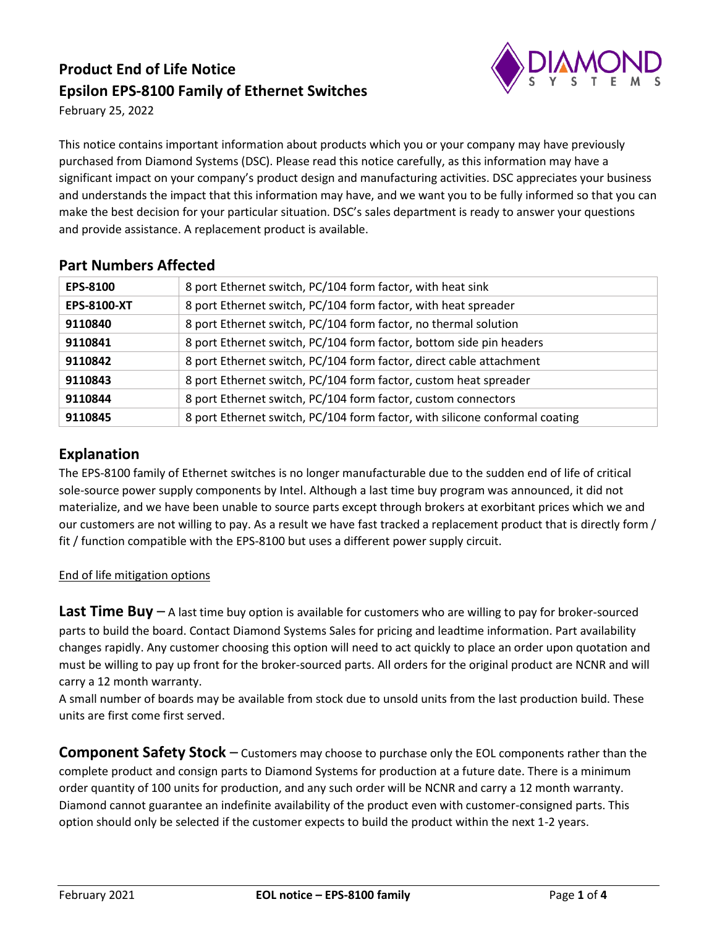# **Product End of Life Notice Epsilon EPS-8100 Family of Ethernet Switches**



February 25, 2022

This notice contains important information about products which you or your company may have previously purchased from Diamond Systems (DSC). Please read this notice carefully, as this information may have a significant impact on your company's product design and manufacturing activities. DSC appreciates your business and understands the impact that this information may have, and we want you to be fully informed so that you can make the best decision for your particular situation. DSC's sales department is ready to answer your questions and provide assistance. A replacement product is available.

| 8 port Ethernet switch, PC/104 form factor, with heat sink                  |
|-----------------------------------------------------------------------------|
| 8 port Ethernet switch, PC/104 form factor, with heat spreader              |
| 8 port Ethernet switch, PC/104 form factor, no thermal solution             |
| 8 port Ethernet switch, PC/104 form factor, bottom side pin headers         |
| 8 port Ethernet switch, PC/104 form factor, direct cable attachment         |
| 8 port Ethernet switch, PC/104 form factor, custom heat spreader            |
| 8 port Ethernet switch, PC/104 form factor, custom connectors               |
| 8 port Ethernet switch, PC/104 form factor, with silicone conformal coating |
|                                                                             |

### **Part Numbers Affected**

### **Explanation**

The EPS-8100 family of Ethernet switches is no longer manufacturable due to the sudden end of life of critical sole-source power supply components by Intel. Although a last time buy program was announced, it did not materialize, and we have been unable to source parts except through brokers at exorbitant prices which we and our customers are not willing to pay. As a result we have fast tracked a replacement product that is directly form / fit / function compatible with the EPS-8100 but uses a different power supply circuit.

#### End of life mitigation options

**Last Time Buy** – A last time buy option is available for customers who are willing to pay for broker-sourced parts to build the board. Contact Diamond Systems Sales for pricing and leadtime information. Part availability changes rapidly. Any customer choosing this option will need to act quickly to place an order upon quotation and must be willing to pay up front for the broker-sourced parts. All orders for the original product are NCNR and will carry a 12 month warranty.

A small number of boards may be available from stock due to unsold units from the last production build. These units are first come first served.

**Component Safety Stock** – Customers may choose to purchase only the EOL components rather than the complete product and consign parts to Diamond Systems for production at a future date. There is a minimum order quantity of 100 units for production, and any such order will be NCNR and carry a 12 month warranty. Diamond cannot guarantee an indefinite availability of the product even with customer-consigned parts. This option should only be selected if the customer expects to build the product within the next 1-2 years.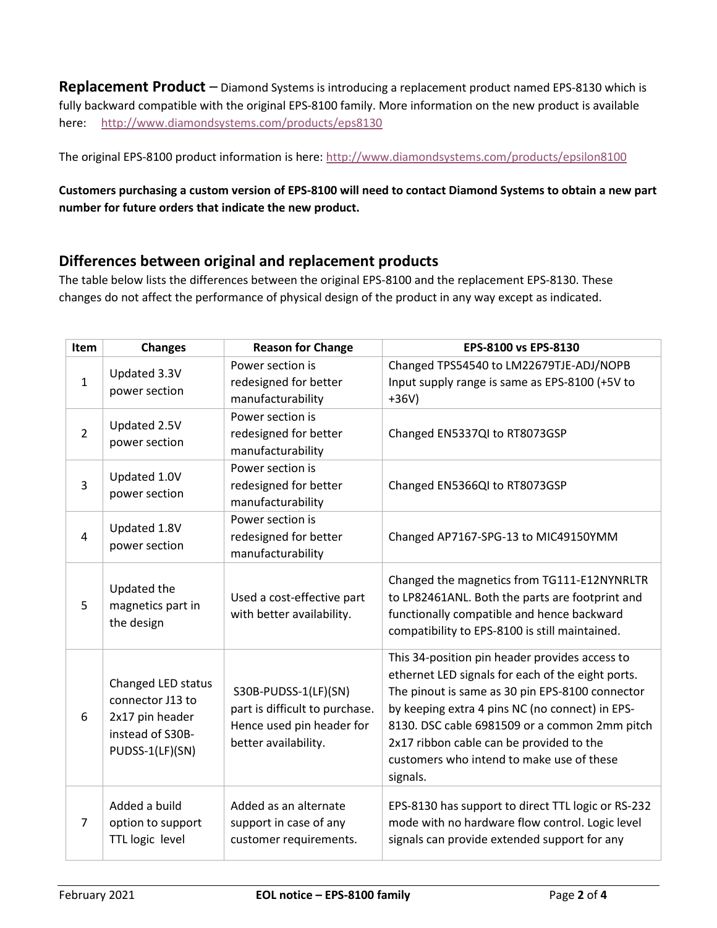**Replacement Product** – Diamond Systems is introducing a replacement product named EPS-8130 which is fully backward compatible with the original EPS-8100 family. More information on the new product is available here: <http://www.diamondsystems.com/products/eps8130>

The original EPS-8100 product information is here[: http://www.diamondsystems.com/products/epsilon8100](http://www.diamondsystems.com/products/epsilon8100)

#### **Customers purchasing a custom version of EPS-8100 will need to contact Diamond Systems to obtain a new part number for future orders that indicate the new product.**

### **Differences between original and replacement products**

The table below lists the differences between the original EPS-8100 and the replacement EPS-8130. These changes do not affect the performance of physical design of the product in any way except as indicated.

| <b>Item</b>    | <b>Changes</b>                                                                                   | <b>Reason for Change</b>                                                                                    | EPS-8100 vs EPS-8130                                                                                                                                                                                                                                                                                                                                            |
|----------------|--------------------------------------------------------------------------------------------------|-------------------------------------------------------------------------------------------------------------|-----------------------------------------------------------------------------------------------------------------------------------------------------------------------------------------------------------------------------------------------------------------------------------------------------------------------------------------------------------------|
| $\mathbf{1}$   | Updated 3.3V<br>power section                                                                    | Power section is<br>redesigned for better<br>manufacturability                                              | Changed TPS54540 to LM22679TJE-ADJ/NOPB<br>Input supply range is same as EPS-8100 (+5V to<br>$+36V)$                                                                                                                                                                                                                                                            |
| $\overline{2}$ | Updated 2.5V<br>power section                                                                    | Power section is<br>redesigned for better<br>manufacturability                                              | Changed EN5337QI to RT8073GSP                                                                                                                                                                                                                                                                                                                                   |
| $\overline{3}$ | Updated 1.0V<br>power section                                                                    | Power section is<br>redesigned for better<br>manufacturability                                              | Changed EN5366QI to RT8073GSP                                                                                                                                                                                                                                                                                                                                   |
| 4              | Updated 1.8V<br>power section                                                                    | Power section is<br>redesigned for better<br>manufacturability                                              | Changed AP7167-SPG-13 to MIC49150YMM                                                                                                                                                                                                                                                                                                                            |
| 5              | Updated the<br>magnetics part in<br>the design                                                   | Used a cost-effective part<br>with better availability.                                                     | Changed the magnetics from TG111-E12NYNRLTR<br>to LP82461ANL. Both the parts are footprint and<br>functionally compatible and hence backward<br>compatibility to EPS-8100 is still maintained.                                                                                                                                                                  |
| 6              | Changed LED status<br>connector J13 to<br>2x17 pin header<br>instead of S30B-<br>PUDSS-1(LF)(SN) | S30B-PUDSS-1(LF)(SN)<br>part is difficult to purchase.<br>Hence used pin header for<br>better availability. | This 34-position pin header provides access to<br>ethernet LED signals for each of the eight ports.<br>The pinout is same as 30 pin EPS-8100 connector<br>by keeping extra 4 pins NC (no connect) in EPS-<br>8130. DSC cable 6981509 or a common 2mm pitch<br>2x17 ribbon cable can be provided to the<br>customers who intend to make use of these<br>signals. |
| 7              | Added a build<br>option to support<br>TTL logic level                                            | Added as an alternate<br>support in case of any<br>customer requirements.                                   | EPS-8130 has support to direct TTL logic or RS-232<br>mode with no hardware flow control. Logic level<br>signals can provide extended support for any                                                                                                                                                                                                           |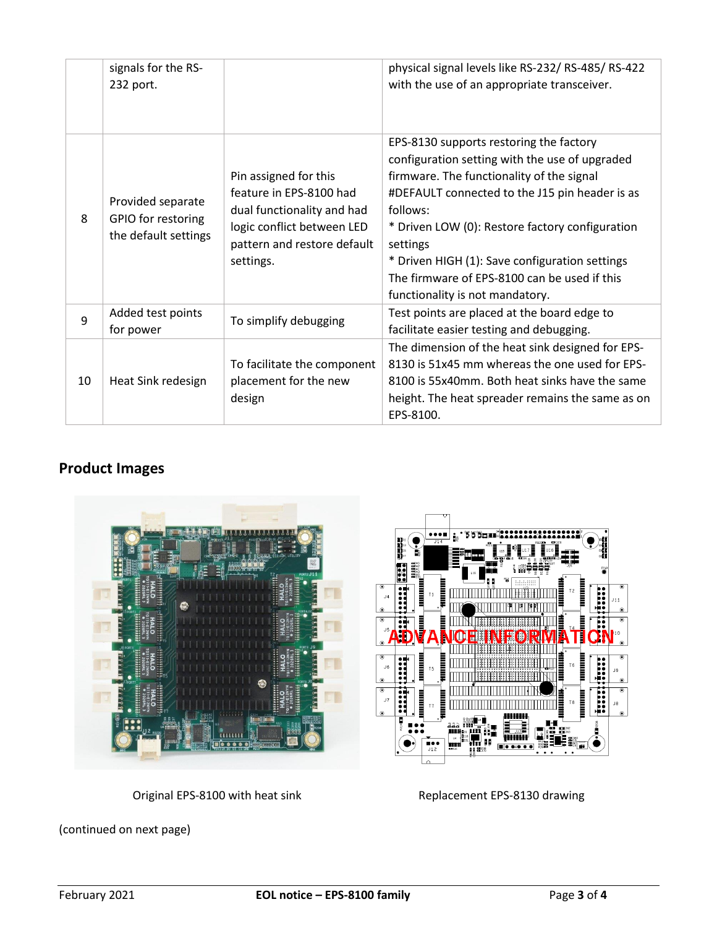|    | signals for the RS-<br>232 port.                                |                                                                                                                                                          | physical signal levels like RS-232/ RS-485/ RS-422<br>with the use of an appropriate transceiver.                                                                                                                                                                                                                                                                                                        |
|----|-----------------------------------------------------------------|----------------------------------------------------------------------------------------------------------------------------------------------------------|----------------------------------------------------------------------------------------------------------------------------------------------------------------------------------------------------------------------------------------------------------------------------------------------------------------------------------------------------------------------------------------------------------|
| 8  | Provided separate<br>GPIO for restoring<br>the default settings | Pin assigned for this<br>feature in EPS-8100 had<br>dual functionality and had<br>logic conflict between LED<br>pattern and restore default<br>settings. | EPS-8130 supports restoring the factory<br>configuration setting with the use of upgraded<br>firmware. The functionality of the signal<br>#DEFAULT connected to the J15 pin header is as<br>follows:<br>* Driven LOW (0): Restore factory configuration<br>settings<br>* Driven HIGH (1): Save configuration settings<br>The firmware of EPS-8100 can be used if this<br>functionality is not mandatory. |
| 9  | Added test points<br>for power                                  | To simplify debugging                                                                                                                                    | Test points are placed at the board edge to<br>facilitate easier testing and debugging.                                                                                                                                                                                                                                                                                                                  |
| 10 | Heat Sink redesign                                              | To facilitate the component<br>placement for the new<br>design                                                                                           | The dimension of the heat sink designed for EPS-<br>8130 is 51x45 mm whereas the one used for EPS-<br>8100 is 55x40mm. Both heat sinks have the same<br>height. The heat spreader remains the same as on<br>EPS-8100.                                                                                                                                                                                    |

## **Product Images**



Original EPS-8100 with heat sink Replacement EPS-8130 drawing

(continued on next page)